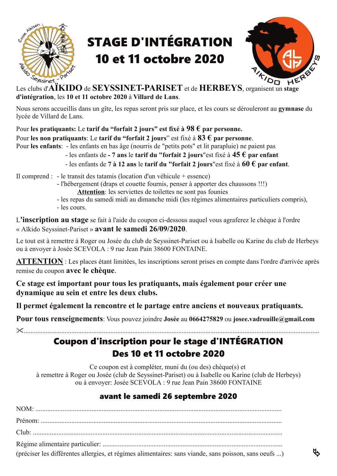

## **STAGE D'INTÉGRATION 10 et 11 octobre 2020**



**ų** 

Les clubs d'AÏKIDO de SEYSSINET-PARISET et de HERBEYS, organisent un stage d'intégration, les 10 et 11 octobre 2020 à Villard de Lans.

Nous serons accueillis dans un gîte, les repas seront pris sur place, et les cours se dérouleront au gymnase du lycée de Villard de Lans.

Pour les pratiquants: Le tarif du "forfait 2 jours" est fixé à  $98 \text{ } \epsilon$  par personne.

Pour les non pratiquants: Le tarif du "forfait 2 jours" est fixé à  $83 \text{ } \epsilon$  par personne.

Pour les enfants: - les enfants en bas âge (nourris de "petits pots" et lit parapluie) ne paient pas

- les enfants de 7 ans le tarif du "forfait 2 jours" est fixé à  $45 \text{ } \in \mathbf{par}$  enfant
	- les enfants de 7 à 12 ans le tarif du "forfait 2 jours" est fixé à  $60 \text{ } \epsilon$  par enfant.

Il comprend : - le transit des tatamis (location d'un véhicule + essence)

- l'hébergement (draps et couette fournis, penser à apporter des chaussons !!!)
	- Attention: les serviettes de toilettes ne sont pas founies
- les repas du samedi midi au dimanche midi (les régimes alimentaires particuliers compris), - les cours.

L'inscription au stage se fait à l'aide du coupon ci-dessous auquel vous agraferez le chèque à l'ordre « Aïkido Seyssinet-Pariset » avant le samedi 26/09/2020.

Le tout est à remettre à Roger ou Josée du club de Seyssinet-Pariset ou à Isabelle ou Karine du club de Herbeys ou à envoyer à Josée SCEVOLA : 9 rue Jean Pain 38600 FONTAINE.

**ATTENTION**: Les places étant limitées, les inscriptions seront prises en compte dans l'ordre d'arrivée après remise du coupon avec le chèque.

Ce stage est important pour tous les pratiquants, mais également pour créer une dynamique au sein et entre les deux clubs.

Il permet également la rencontre et le partage entre anciens et nouveaux pratiquants.

Pour tous renseignements: Vous pouvez joindre Josée au 0664275829 ou josee.vadrouille@gmail.com

#### $\chi$  . The continuum of  $\chi$

### Coupon d'inscription pour le stage d'INTÉGRATION Des 10 et 11 octobre 2020

Ce coupon est à compléter, muni du (ou des) chèque(s) et à remettre à Roger ou Josée (club de Seyssinet-Pariset) ou à Isabelle ou Karine (club de Herbeys) ou à envoyer: Josée SCEVOLA : 9 rue Jean Pain 38600 FONTAINE

### avant le samedi 26 septembre 2020

| (préciser les différentes allergies, et régimes alimentaires: sans viande, sans poisson, sans oeufs ) |
|-------------------------------------------------------------------------------------------------------|